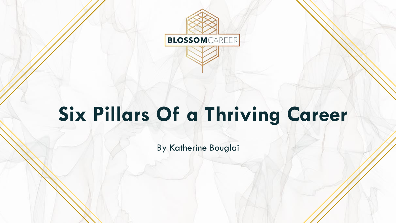

# **Six Pillars Of a Thriving Career**

By Katherine Bouglai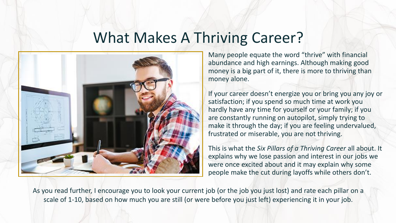#### What Makes A Thriving Career?



Many people equate the word "thrive" with financial abundance and high earnings. Although making good money is a big part of it, there is more to thriving than money alone.

If your career doesn't energize you or bring you any joy or satisfaction; if you spend so much time at work you hardly have any time for yourself or your family; if you are constantly running on autopilot, simply trying to make it through the day; if you are feeling undervalued, frustrated or miserable, you are not thriving.

This is what the *Six Pillars of a Thriving Career* all about. It explains why we lose passion and interest in our jobs we were once excited about and it may explain why some people make the cut during layoffs while others don't.

As you read further, I encourage you to look your current job (or the job you just lost) and rate each pillar on a scale of 1-10, based on how much you are still (or were before you just left) experiencing it in your job.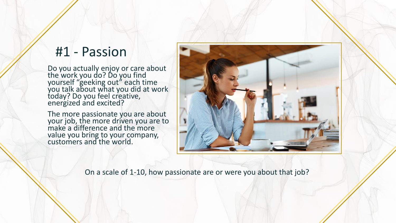#### #1 - Passion

Do you actually enjoy or care about the work you do? Do you find yourself "geeking out" each time you talk about what you did at work today? Do you feel creative, energized and excited?

The more passionate you are about your job, the more driven you are to make a difference and the more value you bring to your company, customers and the world.



On a scale of 1-10, how passionate are or were you about that job?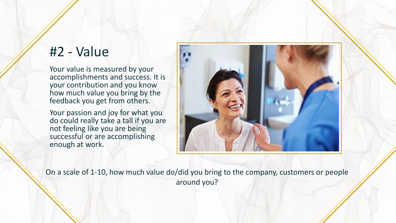#### #2 - Value

Your value is measured by your accomplishments and success. It is your contribution and you know how much value you bring by the feedback you get from others.

Your passion and joy for what you do could really take a tall if you are not feeling like you are being successful or are accomplishing enough at work.



On a scale of 1-10, how much value do/did you bring to the company, customers or people around you?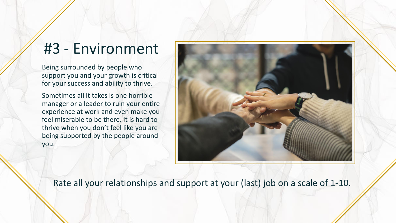## #3 - Environment

Being surrounded by people who support you and your growth is critical for your success and ability to thrive.

Sometimes all it takes is one horrible manager or a leader to ruin your entire experience at work and even make you feel miserable to be there. It is hard to thrive when you don't feel like you are being supported by the people around you.



Rate all your relationships and support at your (last) job on a scale of 1-10.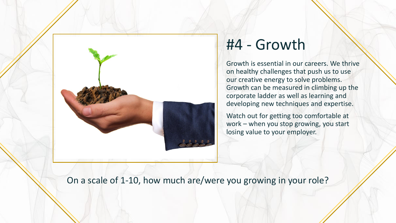

### #4 - Growth

Growth is essential in our careers. We thrive on healthy challenges that push us to use our creative energy to solve problems. Growth can be measured in climbing up the corporate ladder as well as learning and developing new techniques and expertise.

Watch out for getting too comfortable at work – when you stop growing, you start losing value to your employer.

On a scale of 1-10, how much are/were you growing in your role?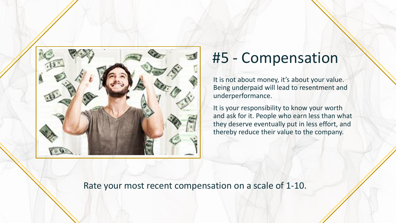

#### #5 - Compensation

It is not about money, it's about your value. Being underpaid will lead to resentment and underperformance.

It is your responsibility to know your worth and ask for it. People who earn less than what they deserve eventually put in less effort, and thereby reduce their value to the company.

Rate your most recent compensation on a scale of 1-10.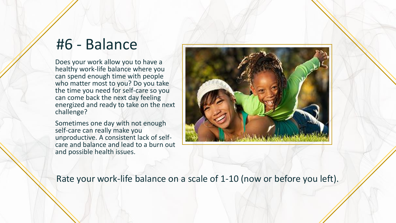### #6 - Balance

Does your work allow you to have a healthy work-life balance where you can spend enough time with people who matter most to you? Do you take the time you need for self-care so you can come back the next day feeling energized and ready to take on the next challenge?

Sometimes one day with not enough self-care can really make you unproductive. A consistent lack of selfcare and balance and lead to a burn out and possible health issues.



Rate your work-life balance on a scale of 1-10 (now or before you left).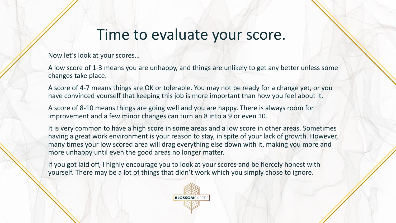### Time to evaluate your score.

Now let's look at your scores…

A low score of 1-3 means you are unhappy, and things are unlikely to get any better unless some changes take place.

A score of 4-7 means things are OK or tolerable. You may not be ready for a change yet, or you have convinced yourself that keeping this job is more important than how you feel about it.

A score of 8-10 means things are going well and you are happy. There is always room for improvement and a few minor changes can turn an 8 into a 9 or even 10.

It is very common to have a high score in some areas and a low score in other areas. Sometimes having a great work environment is your reason to stay, in spite of your lack of growth. However, many times your low scored area will drag everything else down with it, making you more and more unhappy until even the good areas no longer matter.

If you got laid off, I highly encourage you to look at your scores and be fiercely honest with yourself. There may be a lot of things that didn't work which you simply chose to ignore.

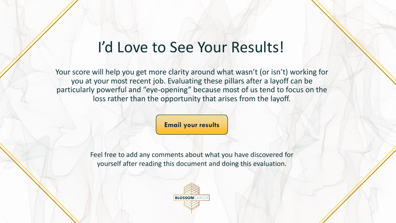### I'd Love to See Your Results!

Your score will help you get more clarity around what wasn't (or isn't) working for you at your most recent job. Evaluating these pillars after a layoff can be particularly powerful and "eye-opening" because most of us tend to focus on the loss rather than the opportunity that arises from the layoff.

**[Email your results](mailto:katherine@blossomcareer.com?subject=6%20Pillar%20scores.)**

Feel free to add any comments about what you have discovered for yourself after reading this document and doing this evaluation.